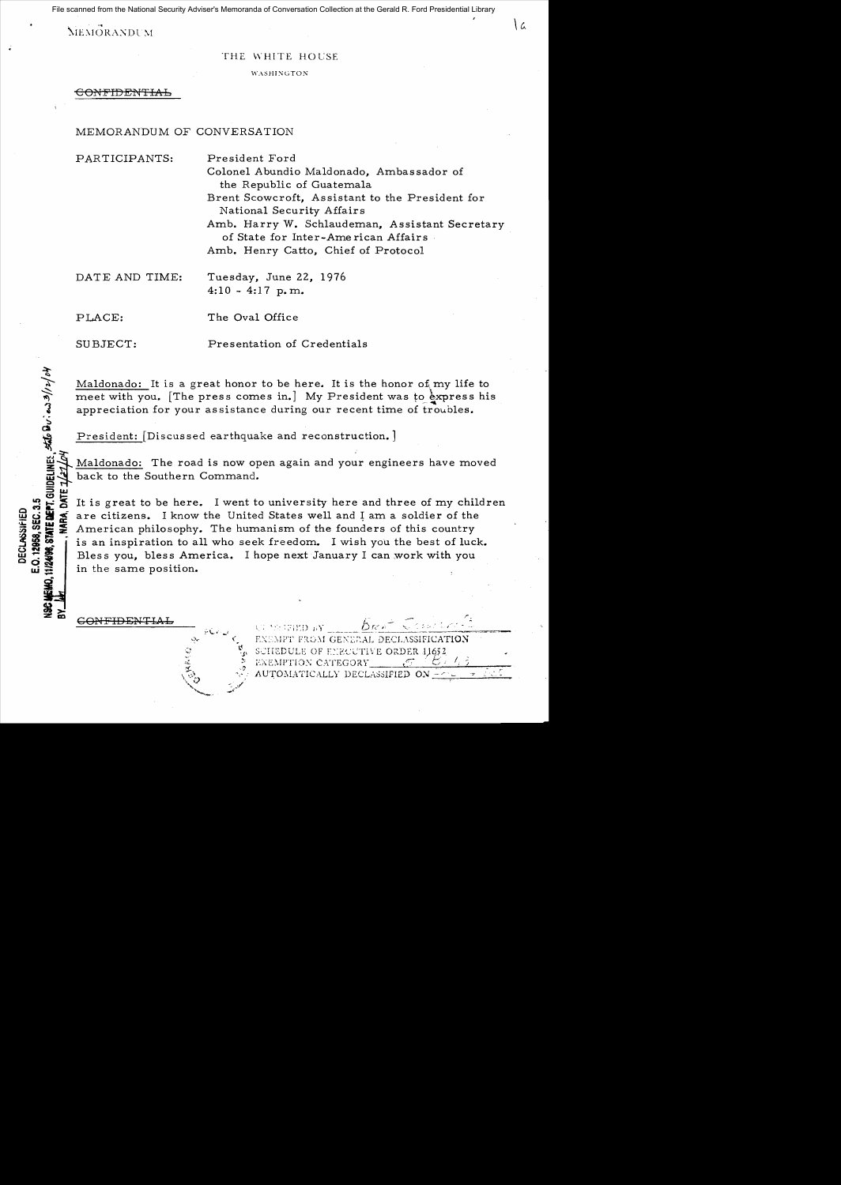File scanned from the National Security Adviser's Memoranda of Conversation Collection at the Gerald R. Ford Presidential Library

**MEMORANDUM** 

#### THE WHITE HOUSE

ا د

WASHINGTON

CONFIDENTIAL

## MEMORANDUM OF CONVERSATION

| PARTICIPANTS:  | President Ford                                                                        |
|----------------|---------------------------------------------------------------------------------------|
|                | Colonel Abundio Maldonado, Ambassador of<br>the Republic of Guatemala                 |
|                | Brent Scowcroft, Assistant to the President for<br>National Security Affairs          |
|                | Amb. Harry W. Schlaudeman, Assistant Secretary<br>of State for Inter-American Affairs |
|                | Amb. Henry Catto, Chief of Protocol                                                   |
| DATE AND TIME: | Tuesday, June 22, 1976<br>$4:10 - 4:17$ p.m.                                          |

The Oval Office PLACE:

Presentation of Credentials SUBJECT:

Maldonado: It is a great honor to be here. It is the honor of my life to meet with you. [The press comes in.] My President was to express his appreciation for your assistance during our recent time of troubles.

President: [Discussed earthquake and reconstruction.]

Maldonado: The road is now open again and your engineers have moved back to the Southern Command.

It is great to be here. I went to university here and three of my children are citizens. I know the United States well and I am a soldier of the American philosophy. The humanism of the founders of this country is an inspiration to all who seek freedom. I wish you the best of luck. Bless you, bless America. I hope next January I can work with you in the same position.

CONFIDENTIAL

**11/2498, STATE DEPT. GUIDELINES. SALG DU. 0.3/12/04** 

E.O. 12958, SEC. 3.5

DECLASSIFIED

ストリウ

ENEMPT FROM GENERAL DECLASSIFICATION SCHEDULE OF ENROUTIVE ORDER 11652 EXEMPTION CATEGORY AUTOMATICALLY DECLASSIFIED ON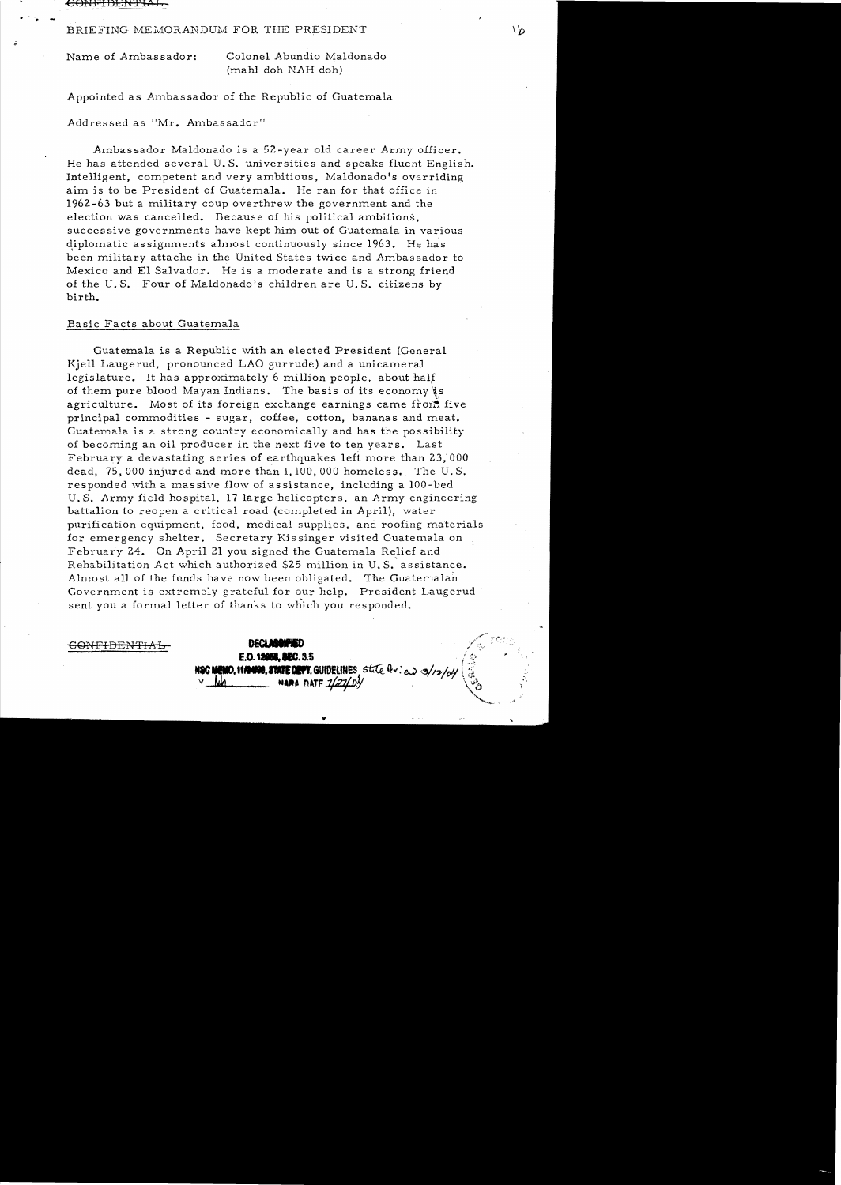€ONFIDENTIl\L

## BRIEFING MEMORANDUM FOR THE PRESIDENT  $\vert \flat \vert$

Name of Ambassador: Colonel Abundio Maldonado (mahl doh NAB doh)

Appointed as Ambassador of the Republic of Guatemala

Addressed as "Mr. Ambassalor"

Ambassador Maldonado is a 52-year old career Army officer. He has attended several U.S. universities and speaks fluent English. Intelligent, competent and very ambitious, Maldonado's overriding aim is to be President of Guatemala. He ran for that office in 1962 -63 but a military coup overthrew the government and the election was cancelled. Because of his political ambitions, successive governments have kept him out of Guatemala in various diplomatic assignments almost continuously since 1963. He has been military attache in the United States twice and Ambassador to Mexico and El Salvador. He is a moderate and is a strong friend of the U.S. Four of Maldonado's children are U.S. citizens by birth.

## Basic Facts about Guatemala

Guatemala is a Republic with an elected President (General Kjell Laugerud, pronounced LAO gurrude) and a unicameral legislature. It has approximately 6 million people, about half of them pure blood Mayan Indians. The basis of its economy is agriculture. Most of its foreign exchange earnings came from five principal commodities - sugar, coffee, cotton, bananas and meat. Guatemala is a strong country economically and has the possibility of becoming an oil producer in the next five to ten years. Last February a devastating series of earthquakes left more than 23, 000 dead.  $75,000$  injured and more than  $1,100,000$  homeless. The U.S. responded with a massive flow of assistance, including a 100-bed U. S. Army field hospital, 17 large helicopters, an Army engineering battalion to reopen a critical road (completed in April), water purification equipment, food, medical supplies, and roofing materials for emergency shelter. Secretary Kissinger visited Guatemala on February 24. On April 21 you signed the Guatemala Relief and Rehabilitation Act which authorized \$25 million in U. S. assistance.· Almost all of the funds have now been obligated. The Guatemalan Government is extremely grateful for our help. President Laugerud sent you a formal letter of thanks to which you responded.

**DECLARGIFIED** 

<del>CONFIDENTIAL</del>

**E.O. 12058. BEC. 3.5** 10, 11/2400, STATE DEPT. GUIDELINES, State Quien 3/12/04 **NARA TATF 7/27/**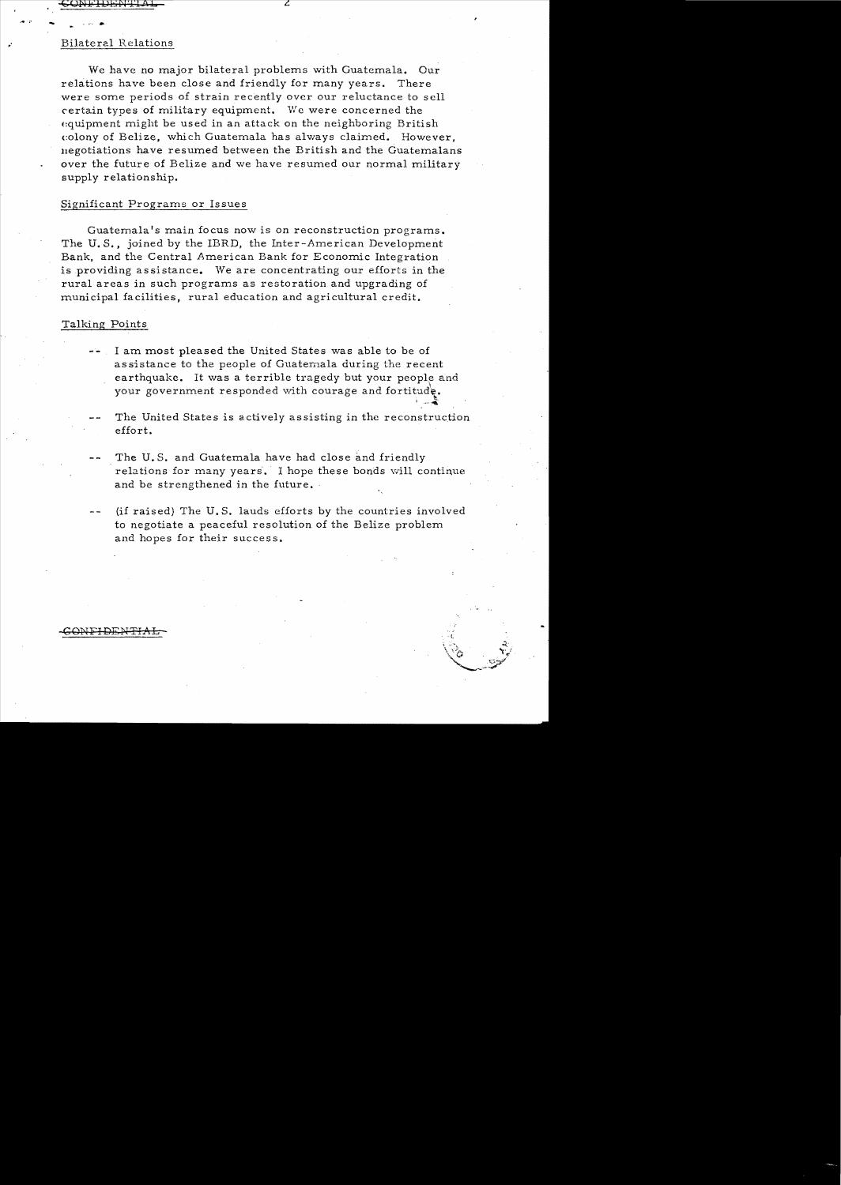# **Bilateral Relations**

Wc have no major bilateral problems with Guatemala. Our relations have been close and friendly for many years. There were some periods of strain recently over our reluctance to scll certain types of military equipment. We were concerned the equipment might be used in an attack on the neighboring British colony of Belize, which Guatemala has always claimed. However, negotiations have resumed between the British and the Guatemalans over the future of Belize and we have resumed our normal military supply relationship.

### Significant Programs or Issues

Guatemala's main focus now is on reconstruction programs. The **U.** S., joined by the IBRD, the Inter-American Development Bank, and the Central American Bank for Economic Integration is providing assistance. \Ve are concentrating our efforts in the rural areas in such programs as restoration and upgrading of municipal facilities, rural education and agricultural credit.

## Talking Points

- I am most pleased the United States was able to be of assistance to the people of Guatemala during the recent earthquake. It was a terrible tragedy but your people and your government responded with courage and fortitude.
- The United States is actively assisting in the reconstruction effort.
- The U.S. and Guatemala have had close and friendly relations for many years. I hope these bonds will continue and be strengthened in the future.
- (if raised) The U. S. lauds efforts by the countries involved to negotiate a peaceful resolution of the Belize problem and hopes for their success.

#### ONFIDEN<del>T</del>